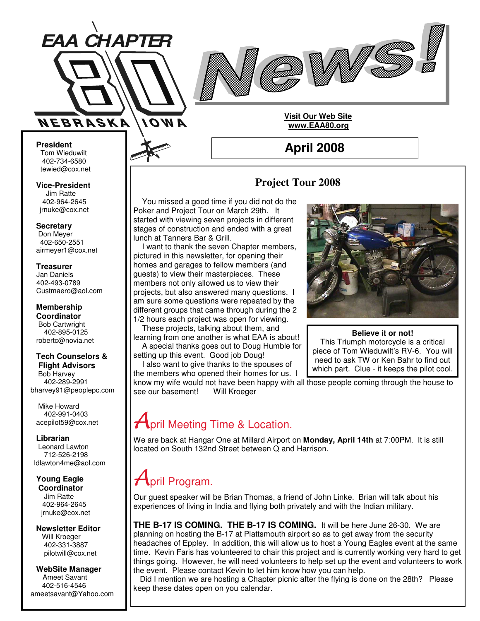



**President** Tom Wieduwilt 402-734-6580 tewied@cox.net

**Vice-President** Jim Ratte 402-964-2645 jrnuke@cox.net

**Secretary**

Don Meyer 402-650-2551 airmeyer1@cox.net

**Treasurer** Jan Daniels 402-493-0789 Custmaero@aol.com

**Membership Coordinator** Bob Cartwright 402-895-0125 robertc@novia.net

#### **Tech Counselors & Flight Advisors**

Bob Harvey 402-289-2991 bharvey91@peoplepc.com

Mike Howard 402-991-0403 acepilot59@cox.net

### **Librarian**

Leonard Lawton 712-526-2198 ldlawton4me@aol.com

**Young Eagle Coordinator** Jim Ratte 402-964-2645 jrnuke@cox.net

**Newsletter Editor** Will Kroeger 402-331-3887 pilotwill@cox.net

**WebSite Manager** Ameet Savant 402-516-4546 ameetsavant@Yahoo.com

### **Project Tour 2008**

**April 2008**

**Visit Our Web Site www.EAA80.org**

You missed a good time if you did not do the Poker and Project Tour on March 29th. It started with viewing seven projects in different stages of construction and ended with a great lunch at Tanners Bar & Grill.

I want to thank the seven Chapter members, pictured in this newsletter, for opening their homes and garages to fellow members (and guests) to view their masterpieces. These members not only allowed us to view their projects, but also answered many questions. I am sure some questions were repeated by the different groups that came through during the 2 1/2 hours each project was open for viewing.

These projects, talking about them, and learning from one another is what EAA is about! A special thanks goes out to Doug Humble for setting up this event. Good job Doug!

I also want to give thanks to the spouses of the members who opened their homes for us. I



### **Believe it or not!**

This Triumph motorcycle is a critical piece of Tom Wieduwilt's RV-6. You will need to ask TW or Ken Bahr to find out which part. Clue - it keeps the pilot cool.

know my wife would not have been happy with all those people coming through the house to see our basement! Will Kroeger

# **April Meeting Time & Location.**

We are back at Hangar One at Millard Airport on **Monday, April 14th** at 7:00PM. It is still located on South 132nd Street between Q and Harrison.

# pril Program.

Our guest speaker will be Brian Thomas, a friend of John Linke. Brian will talk about his experiences of living in India and flying both privately and with the Indian military.

**THE B-17 IS COMING. THE B-17 IS COMING.** It will be here June 26-30. We are planning on hosting the B-17 at Plattsmouth airport so as to get away from the security headaches of Eppley. In addition, this will allow us to host a Young Eagles event at the same time. Kevin Faris has volunteered to chair this project and is currently working very hard to get things going. However, he will need volunteers to help set up the event and volunteers to work the event. Please contact Kevin to let him know how you can help.

Did I mention we are hosting a Chapter picnic after the flying is done on the 28th? Please keep these dates open on you calendar.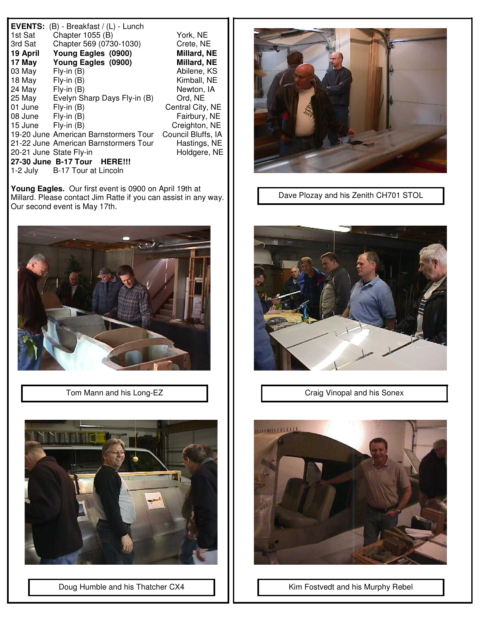| Chapter 569 (0730-1030)<br>3rd Sat<br>Crete, NE<br>19 April<br>Young Eagles (0900)<br>Young Eagles (0900)<br>17 May<br>03 May<br>$Fly-in(B)$<br>18 May<br>$Fly-in(B)$<br>$Fly-in(B)$<br>24 May<br>25 May<br>Evelyn Sharp Days Fly-in (B)<br>01 June<br>$Fly-in(B)$<br>$Fly-in(B)$<br>08 June<br>15 June<br>$Fly-in(B)$<br>19-20 June American Barnstormers Tour<br>21-22 June American Barnstormers Tour<br>20-21 June State Fly-in | Millard, NE<br>Millard, NE<br>Abilene, KS<br>Kimball, NE<br>Newton, IA<br>Ord, NE<br>Central City, NE<br>Fairbury, NE<br>Creighton, NE<br>Council Bluffs, IA<br>Hastings, NE<br>Holdgere, NE |
|-------------------------------------------------------------------------------------------------------------------------------------------------------------------------------------------------------------------------------------------------------------------------------------------------------------------------------------------------------------------------------------------------------------------------------------|----------------------------------------------------------------------------------------------------------------------------------------------------------------------------------------------|
| 27-30 June B-17 Tour HERE!!!<br>1-2 July<br>B-17 Tour at Lincoln                                                                                                                                                                                                                                                                                                                                                                    |                                                                                                                                                                                              |

**Young Eagles.** Our first event is 0900 on April 19th at Millard. Please contact Jim Ratte if you can assist in any way. Our second event is May 17th.



Tom Mann and his Long-EZ



Doug Humble and his Thatcher CX4



Dave Plozay and his Zenith CH701 STOL



Craig Vinopal and his Sonex



Kim Fostvedt and his Murphy Rebel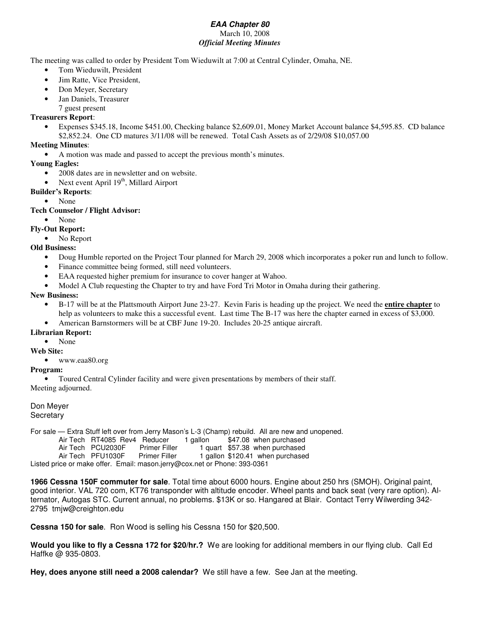#### *EAA Chapter 80* March 10, 2008 *Official Meeting Minutes*

The meeting was called to order by President Tom Wieduwilt at 7:00 at Central Cylinder, Omaha, NE.

- Tom Wieduwilt, President
- Jim Ratte, Vice President,
- Don Meyer, Secretary
- Jan Daniels, Treasurer
	- 7 guest present

### **Treasurers Report**:

• Expenses \$345.18, Income \$451.00, Checking balance \$2,609.01, Money Market Account balance \$4,595.85. CD balance \$2,852.24. One CD matures 3/11/08 will be renewed. Total Cash Assets as of 2/29/08 \$10,057.00

#### **Meeting Minutes**:

• A motion was made and passed to accept the previous month's minutes.

#### **Young Eagles:**

- 2008 dates are in newsletter and on website.
- Next event April  $19<sup>th</sup>$ , Millard Airport
- **Builder's Reports**:
	- None

#### **Tech Counselor / Flight Advisor:**

• None

#### **Fly-Out Report:**

• No Report

### **Old Business:**

- Doug Humble reported on the Project Tour planned for March 29, 2008 which incorporates a poker run and lunch to follow.
- Finance committee being formed, still need volunteers.
- EAA requested higher premium for insurance to cover hanger at Wahoo.
- Model A Club requesting the Chapter to try and have Ford Tri Motor in Omaha during their gathering.

#### **New Business:**

- B-17 will be at the Plattsmouth Airport June 23-27. Kevin Faris is heading up the project. We need the **entire chapter** to help as volunteers to make this a successful event. Last time The B-17 was here the chapter earned in excess of \$3,000.
- American Barnstormers will be at CBF June 19-20. Includes 20-25 antique aircraft.

#### **Librarian Report:**

• None

#### **Web Site:**

• www.eaa80.org

#### **Program:**

• Toured Central Cylinder facility and were given presentations by members of their staff. Meeting adjourned.

Don Meyer **Secretary** 

For sale — Extra Stuff left over from Jerry Mason's L-3 (Champ) rebuild. All are new and unopened.

| Air Tech RT4085 Rev4 Reducer |                      | 1 gallon | \$47.08 when purchased         |
|------------------------------|----------------------|----------|--------------------------------|
| Air Tech PCU2030F            | <b>Primer Filler</b> |          | 1 quart \$57.38 when purchased |

Air Tech PFU1030F Primer Filler 1 gallon \$120.41 when purchased

Listed price or make offer. Email: mason.jerry@cox.net or Phone: 393-0361

**1966 Cessna 150F commuter for sale**. Total time about 6000 hours. Engine about 250 hrs (SMOH). Original paint, good interior. VAL 720 com, KT76 transponder with altitude encoder. Wheel pants and back seat (very rare option). Alternator, Autogas STC. Current annual, no problems. \$13K or so. Hangared at Blair. Contact Terry Wilwerding 342- 2795 tmjw@creighton.edu

**Cessna 150 for sale**. Ron Wood is selling his Cessna 150 for \$20,500.

**Would you like to fly a Cessna 172 for \$20/hr.?** We are looking for additional members in our flying club. Call Ed Haffke @ 935-0803.

**Hey, does anyone still need a 2008 calendar?** We still have a few. See Jan at the meeting.